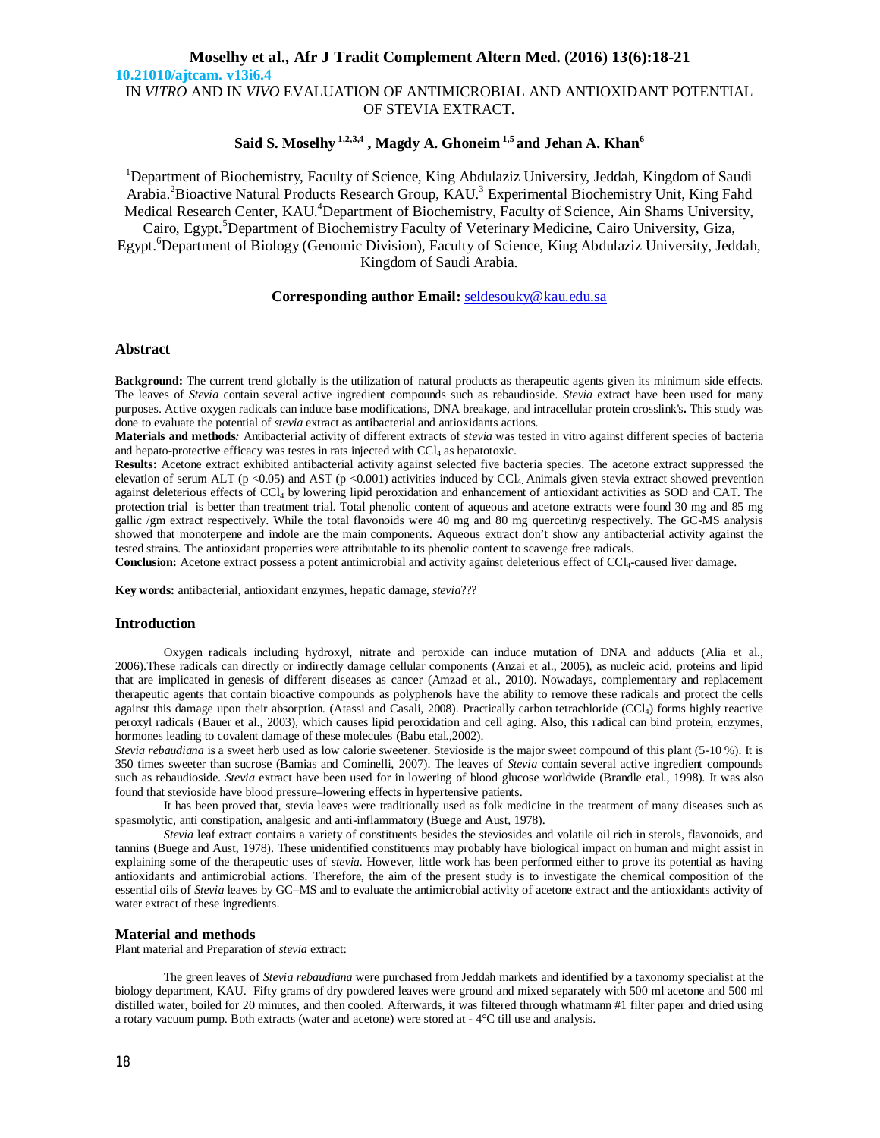# **Moselhy et al., Afr J Tradit Complement Altern Med. (2016) 13(6):18-21 10.21010/ajtcam. v13i6.4** IN *VITRO* AND IN *VIVO* EVALUATION OF ANTIMICROBIAL AND ANTIOXIDANT POTENTIAL OF STEVIA EXTRACT.

# **Said S. Moselhy 1,2,3,4 , Magdy A. Ghoneim 1,5 and Jehan A. Khan<sup>6</sup>**

<sup>1</sup>Department of Biochemistry, Faculty of Science, King Abdulaziz University, Jeddah, Kingdom of Saudi Arabia.<sup>2</sup> Bioactive Natural Products Research Group, KAU.<sup>3</sup> Experimental Biochemistry Unit, King Fahd Medical Research Center, KAU.<sup>4</sup>Department of Biochemistry, Faculty of Science, Ain Shams University, Cairo, Egypt. <sup>5</sup>Department of Biochemistry Faculty of Veterinary Medicine, Cairo University, Giza, Egypt. <sup>6</sup>Department of Biology (Genomic Division), Faculty of Science, King Abdulaziz University, Jeddah, Kingdom of Saudi Arabia.

## **Corresponding author Email:** seldesouky@kau.edu.sa

## **Abstract**

**Background:** The current trend globally is the utilization of natural products as therapeutic agents given its minimum side effects. The leaves of *Stevia* contain several active ingredient compounds such as rebaudioside. *Stevia* extract have been used for many purposes. Active oxygen radicals can induce base modifications, DNA breakage, and intracellular protein crosslink's**.** This study was done to evaluate the potential of *stevia* extract as antibacterial and antioxidants actions*.*

**Materials and methods***:* Antibacterial activity of different extracts of *stevia* was tested in vitro against different species of bacteria and hepato-protective efficacy was testes in rats injected with CCl<sub>4</sub> as hepatotoxic.

**Results:** Acetone extract exhibited antibacterial activity against selected five bacteria species. The acetone extract suppressed the elevation of serum ALT (p <0.05) and AST (p <0.001) activities induced by CCl<sub>4</sub>. Animals given stevia extract showed prevention against deleterious effects of CCl<sup>4</sup> by lowering lipid peroxidation and enhancement of antioxidant activities as SOD and CAT. The protection trial is better than treatment trial. Total phenolic content of aqueous and acetone extracts were found 30 mg and 85 mg gallic /gm extract respectively. While the total flavonoids were 40 mg and 80 mg quercetin/g respectively. The GC-MS analysis showed that monoterpene and indole are the main components. Aqueous extract don't show any antibacterial activity against the tested strains. The antioxidant properties were attributable to its phenolic content to scavenge free radicals.

Conclusion: Acetone extract possess a potent antimicrobial and activity against deleterious effect of CCl<sub>4</sub>-caused liver damage.

**Key words:** antibacterial, antioxidant enzymes, hepatic damage, *stevia*???

## **Introduction**

Oxygen radicals including hydroxyl, nitrate and peroxide can induce mutation of DNA and adducts (Alia et al., 2006).These radicals can directly or indirectly damage cellular components (Anzai et al., 2005), as nucleic acid, proteins and lipid that are implicated in genesis of different diseases as cancer (Amzad et al., 2010). Nowadays, complementary and replacement therapeutic agents that contain bioactive compounds as polyphenols have the ability to remove these radicals and protect the cells against this damage upon their absorption. (Atassi and Casali, 2008). Practically carbon tetrachloride (CCl<sub>4</sub>) forms highly reactive peroxyl radicals (Bauer et al., 2003), which causes lipid peroxidation and cell aging. Also, this radical can bind protein, enzymes, hormones leading to covalent damage of these molecules (Babu etal.,2002).

*Stevia rebaudiana* is a sweet herb used as low calorie sweetener. Stevioside is the major sweet compound of this plant (5-10 %). It is 350 times sweeter than sucrose (Bamias and Cominelli, 2007). The leaves of *Stevia* contain several active ingredient compounds such as rebaudioside. *Stevia* extract have been used for in lowering of blood glucose worldwide (Brandle etal., 1998). It was also found that stevioside have blood pressure–lowering effects in hypertensive patients.

It has been proved that, stevia leaves were traditionally used as folk medicine in the treatment of many diseases such as spasmolytic, anti constipation, analgesic and anti-inflammatory (Buege and Aust, 1978).

*Stevia* leaf extract contains a variety of constituents besides the steviosides and volatile oil rich in sterols, flavonoids, and tannins (Buege and Aust, 1978). These unidentified constituents may probably have biological impact on human and might assist in explaining some of the therapeutic uses of *stevia*. However, little work has been performed either to prove its potential as having antioxidants and antimicrobial actions*.* Therefore, the aim of the present study is to investigate the chemical composition of the essential oils of *Stevia* leaves by GC–MS and to evaluate the antimicrobial activity of acetone extract and the antioxidants activity of water extract of these ingredients.

### **Material and methods**

Plant material and Preparation of *stevia* extract:

The green leaves of *Stevia rebaudiana* were purchased from Jeddah markets and identified by a taxonomy specialist at the biology department, KAU. Fifty grams of dry powdered leaves were ground and mixed separately with 500 ml acetone and 500 ml distilled water, boiled for 20 minutes, and then cooled. Afterwards, it was filtered through whatmann #1 filter paper and dried using a rotary vacuum pump. Both extracts (water and acetone) were stored at - 4°C till use and analysis.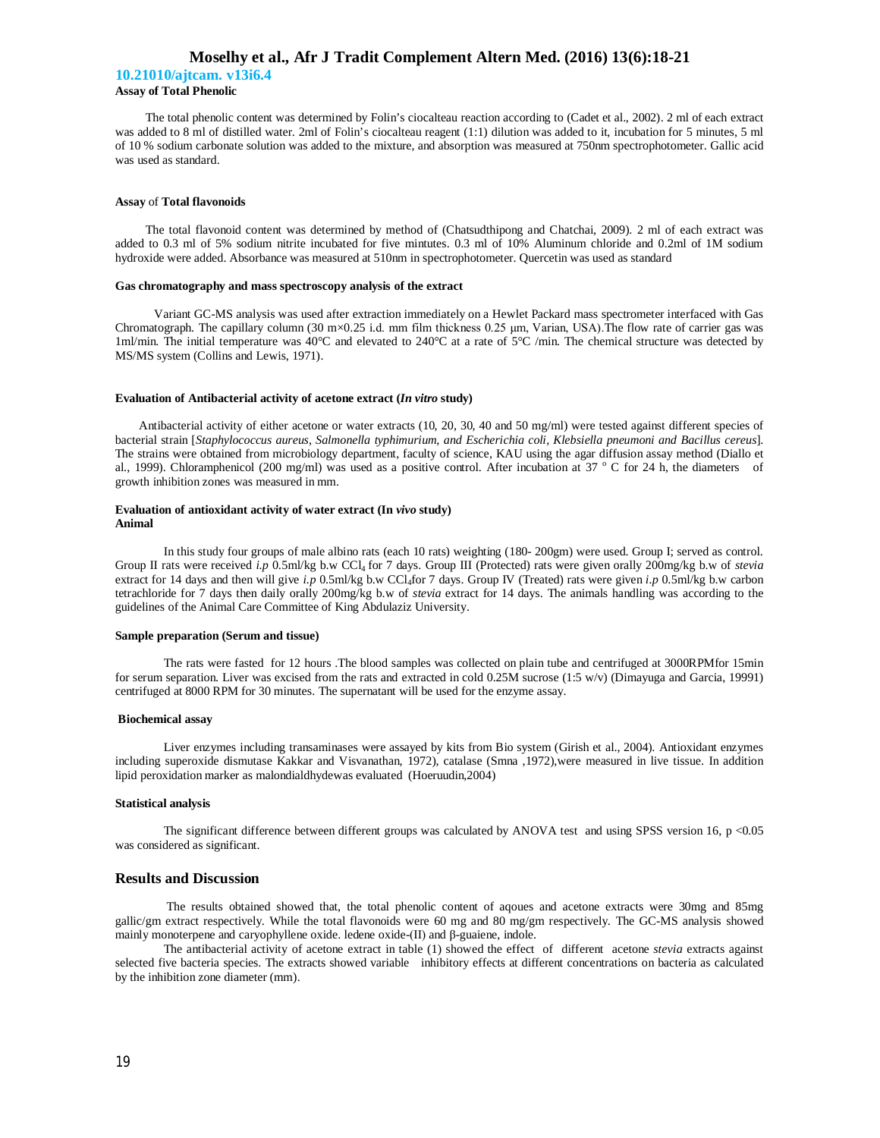## **Moselhy et al., Afr J Tradit Complement Altern Med. (2016) 13(6):18-21**

**10.21010/ajtcam. v13i6.4 Assay of Total Phenolic** 

 The total phenolic content was determined by Folin's ciocalteau reaction according to (Cadet et al., 2002). 2 ml of each extract was added to 8 ml of distilled water. 2ml of Folin's ciocalteau reagent (1:1) dilution was added to it, incubation for 5 minutes, 5 ml of 10 % sodium carbonate solution was added to the mixture, and absorption was measured at 750nm spectrophotometer. Gallic acid was used as standard.

#### **Assay** of **Total flavonoids**

 The total flavonoid content was determined by method of (Chatsudthipong and Chatchai, 2009). 2 ml of each extract was added to 0.3 ml of 5% sodium nitrite incubated for five mintutes. 0.3 ml of 10% Aluminum chloride and 0.2ml of 1M sodium hydroxide were added. Absorbance was measured at 510nm in spectrophotometer. Quercetin was used as standard

### **Gas chromatography and mass spectroscopy analysis of the extract**

 Variant GC-MS analysis was used after extraction immediately on a Hewlet Packard mass spectrometer interfaced with Gas Chromatograph. The capillary column (30 m×0.25 i.d. mm film thickness 0.25 μm, Varian, USA).The flow rate of carrier gas was 1ml/min. The initial temperature was 40°C and elevated to 240°C at a rate of 5°C /min. The chemical structure was detected by MS/MS system (Collins and Lewis, 1971).

#### **Evaluation of Antibacterial activity of acetone extract (***In vitro* **study)**

 Antibacterial activity of either acetone or water extracts (10, 20, 30, 40 and 50 mg/ml) were tested against different species of bacterial strain [*Staphylococcus aureus, Salmonella typhimurium, and Escherichia coli, Klebsiella pneumoni and Bacillus cereus*]. The strains were obtained from microbiology department, faculty of science, KAU using the agar diffusion assay method (Diallo et al., 1999). Chloramphenicol (200 mg/ml) was used as a positive control. After incubation at  $37^\circ$  C for 24 h, the diameters of growth inhibition zones was measured in mm.

### **Evaluation of antioxidant activity of water extract (In** *vivo* **study) Animal**

In this study four groups of male albino rats (each 10 rats) weighting (180- 200gm) were used. Group I; served as control. Group II rats were received *i.p* 0.5ml/kg b.w CCl<sub>4</sub> for 7 days. Group III (Protected) rats were given orally 200mg/kg b.w of *stevia* extract for 14 days and then will give *i.p* 0.5ml/kg b.w CCl<sub>4</sub>for 7 days. Group IV (Treated) rats were given *i.p* 0.5ml/kg b.w carbon tetrachloride for 7 days then daily orally 200mg/kg b.w of *stevia* extract for 14 days. The animals handling was according to the guidelines of the Animal Care Committee of King Abdulaziz University.

#### **Sample preparation (Serum and tissue)**

The rats were fasted for 12 hours .The blood samples was collected on plain tube and centrifuged at 3000RPMfor 15min for serum separation. Liver was excised from the rats and extracted in cold 0.25M sucrose (1:5 w/v) (Dimayuga and Garcia, 19991) centrifuged at 8000 RPM for 30 minutes. The supernatant will be used for the enzyme assay.

#### **Biochemical assay**

Liver enzymes including transaminases were assayed by kits from Bio system (Girish et al., 2004). Antioxidant enzymes including superoxide dismutase Kakkar and Visvanathan, 1972), catalase (Smna ,1972),were measured in live tissue. In addition lipid peroxidation marker as malondialdhydewas evaluated (Hoeruudin,2004)

## **Statistical analysis**

The significant difference between different groups was calculated by ANOVA test and using SPSS version 16, p <0.05 was considered as significant.

### **Results and Discussion**

The results obtained showed that, the total phenolic content of aqoues and acetone extracts were 30mg and 85mg gallic/gm extract respectively. While the total flavonoids were 60 mg and 80 mg/gm respectively. The GC-MS analysis showed mainly monoterpene and caryophyllene oxide. ledene oxide-(ΙΙ) and β-guaiene, indole.

The antibacterial activity of acetone extract in table (1) showed the effect of different acetone *stevia* extracts against selected five bacteria species. The extracts showed variable inhibitory effects at different concentrations on bacteria as calculated by the inhibition zone diameter (mm).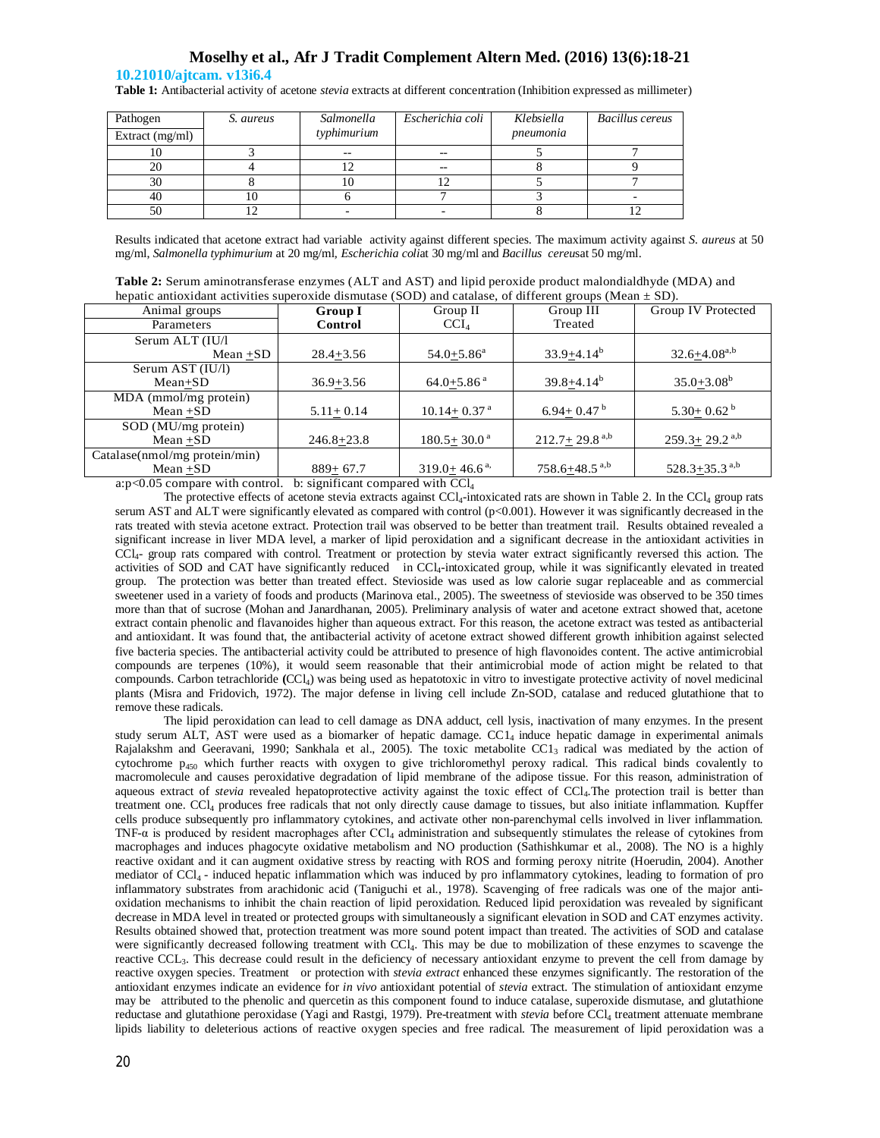## **Moselhy et al., Afr J Tradit Complement Altern Med. (2016) 13(6):18-21**

## **10.21010/ajtcam. v13i6.4**

**Table 1:** Antibacterial activity of acetone *stevia* extracts at different concentration (Inhibition expressed as millimeter)

| Pathogen        | S. aureus | Salmonella  | Escherichia coli | Klebsiella | Bacillus cereus |
|-----------------|-----------|-------------|------------------|------------|-----------------|
| Extract (mg/ml) |           | typhimurium |                  | pneumonia  |                 |
| 10              |           | $- -$       |                  |            |                 |
| 20              |           |             |                  |            |                 |
| 30              |           |             |                  |            |                 |
| 40              |           |             |                  |            |                 |
| 50              |           |             |                  |            |                 |

Results indicated that acetone extract had variable activity against different species. The maximum activity against *S. aureus* at 50 mg/ml, *Salmonella typhimurium* at 20 mg/ml*, Escherichia coli*at 30 mg/ml and *Bacillus cereu*sat 50 mg/ml.

| <b>Table 2:</b> Serum aminotransferase enzymes (ALT and AST) and lipid peroxide product malondialdhyde (MDA) and |  |
|------------------------------------------------------------------------------------------------------------------|--|
| hepatic antioxidant activities superoxide dismutase (SOD) and catalase, of different groups (Mean $\pm$ SD).     |  |

| nepatre antroxidam activities superoxide dismutase (SOD) and catalase, or different groups (preah $\pm$ SD). |                |                              |                               |                                 |  |  |
|--------------------------------------------------------------------------------------------------------------|----------------|------------------------------|-------------------------------|---------------------------------|--|--|
| Animal groups                                                                                                | Group I        | Group II                     | Group III                     | Group IV Protected              |  |  |
| Parameters                                                                                                   | Control        | $\mathrm{CCI}_4$             | Treated                       |                                 |  |  |
| Serum ALT (IU/l                                                                                              |                |                              |                               |                                 |  |  |
| $Mean + SD$                                                                                                  | $28.4 + 3.56$  | $54.0 + 5.86$ <sup>a</sup>   | $33.9 + 4.14^b$               | $32.6 + 4.08^{a,b}$             |  |  |
| Serum AST (IU/l)                                                                                             |                |                              |                               |                                 |  |  |
| $Mean+SD$                                                                                                    | $36.9 + 3.56$  | $64.0 + 5.86$ <sup>a</sup>   | $39.8 + 4.14^b$               | $35.0 + 3.08^b$                 |  |  |
| MDA (mmol/mg protein)                                                                                        |                |                              |                               |                                 |  |  |
| $Mean + SD$                                                                                                  | $5.11 + 0.14$  | $10.14 + 0.37$ <sup>a</sup>  | 6.94 + 0.47 $^{\rm b}$        | $5.30 \pm 0.62$ <sup>b</sup>    |  |  |
| $SOD$ (MU/mg protein)                                                                                        |                |                              |                               |                                 |  |  |
| $Mean + SD$                                                                                                  | $246.8 + 23.8$ | $180.5 + 30.0^{\text{a}}$    | $212.7 + 29.8$ <sup>a,b</sup> | $259.3 \pm 29.2$ <sup>a,b</sup> |  |  |
| Catalase(nmol/mg protein/min)                                                                                |                |                              |                               |                                 |  |  |
| $Mean + SD$                                                                                                  | $889 + 67.7$   | $319.0 + 46.6$ <sup>a,</sup> | $758.6 + 48.5$ <sup>a,b</sup> | $528.3+35.3$ <sup>a,b</sup>     |  |  |
|                                                                                                              |                |                              |                               |                                 |  |  |

a: $p<0.05$  compare with control. b: significant compared with  $\text{CCl}_4$ 

The protective effects of acetone stevia extracts against CCl<sub>4</sub>-intoxicated rats are shown in Table 2. In the CCl<sub>4</sub> group rats serum AST and ALT were significantly elevated as compared with control ( $p<0.001$ ). However it was significantly decreased in the rats treated with stevia acetone extract. Protection trail was observed to be better than treatment trail. Results obtained revealed a significant increase in liver MDA level, a marker of lipid peroxidation and a significant decrease in the antioxidant activities in CCl4- group rats compared with control. Treatment or protection by stevia water extract significantly reversed this action. The activities of SOD and CAT have significantly reduced in CCl<sub>4</sub>-intoxicated group, while it was significantly elevated in treated group. The protection was better than treated effect. Stevioside was used as low calorie sugar replaceable and as commercial sweetener used in a variety of foods and products (Marinova etal., 2005). The sweetness of stevioside was observed to be 350 times more than that of sucrose (Mohan and Janardhanan, 2005). Preliminary analysis of water and acetone extract showed that, acetone extract contain phenolic and flavanoides higher than aqueous extract. For this reason, the acetone extract was tested as antibacterial and antioxidant. It was found that, the antibacterial activity of acetone extract showed different growth inhibition against selected five bacteria species. The antibacterial activity could be attributed to presence of high flavonoides content. The active antimicrobial compounds are terpenes (10%), it would seem reasonable that their antimicrobial mode of action might be related to that compounds. Carbon tetrachloride **(**CCl4) was being used as hepatotoxic in vitro to investigate protective activity of novel medicinal plants (Misra and Fridovich, 1972). The major defense in living cell include Zn-SOD, catalase and reduced glutathione that to remove these radicals.

The lipid peroxidation can lead to cell damage as DNA adduct, cell lysis, inactivation of many enzymes. In the present study serum ALT, AST were used as a biomarker of hepatic damage. CC1<sub>4</sub> induce hepatic damage in experimental animals Rajalakshm and Geeravani, 1990; Sankhala et al., 2005). The toxic metabolite CC1<sup>3</sup> radical was mediated by the action of cytochrome p<sup>450</sup> which further reacts with oxygen to give trichloromethyl peroxy radical. This radical binds covalently to macromolecule and causes peroxidative degradation of lipid membrane of the adipose tissue. For this reason, administration of aqueous extract of *stevia* revealed hepatoprotective activity against the toxic effect of CCl<sub>4</sub>. The protection trail is better than treatment one. CCl<sup>4</sup> produces free radicals that not only directly cause damage to tissues, but also initiate inflammation. Kupffer cells produce subsequently pro inflammatory cytokines, and activate other non-parenchymal cells involved in liver inflammation. TNF- $\alpha$  is produced by resident macrophages after CCl<sub>4</sub> administration and subsequently stimulates the release of cytokines from macrophages and induces phagocyte oxidative metabolism and NO production (Sathishkumar et al., 2008). The NO is a highly reactive oxidant and it can augment oxidative stress by reacting with ROS and forming peroxy nitrite (Hoerudin, 2004). Another mediator of CCl<sub>4</sub> - induced hepatic inflammation which was induced by pro inflammatory cytokines, leading to formation of pro inflammatory substrates from arachidonic acid (Taniguchi et al., 1978). Scavenging of free radicals was one of the major antioxidation mechanisms to inhibit the chain reaction of lipid peroxidation. Reduced lipid peroxidation was revealed by significant decrease in MDA level in treated or protected groups with simultaneously a significant elevation in SOD and CAT enzymes activity. Results obtained showed that, protection treatment was more sound potent impact than treated. The activities of SOD and catalase were significantly decreased following treatment with CCl<sup>4</sup> . This may be due to mobilization of these enzymes to scavenge the reactive CCL3. This decrease could result in the deficiency of necessary antioxidant enzyme to prevent the cell from damage by reactive oxygen species. Treatment or protection with *stevia extract* enhanced these enzymes significantly. The restoration of the antioxidant enzymes indicate an evidence for *in vivo* antioxidant potential of *stevia* extract*.* The stimulation of antioxidant enzyme may be attributed to the phenolic and quercetin as this component found to induce catalase, superoxide dismutase, and glutathione reductase and glutathione peroxidase (Yagi and Rastgi, 1979). Pre-treatment with *stevia* before CCl<sub>4</sub> treatment attenuate membrane lipids liability to deleterious actions of reactive oxygen species and free radical. The measurement of lipid peroxidation was a